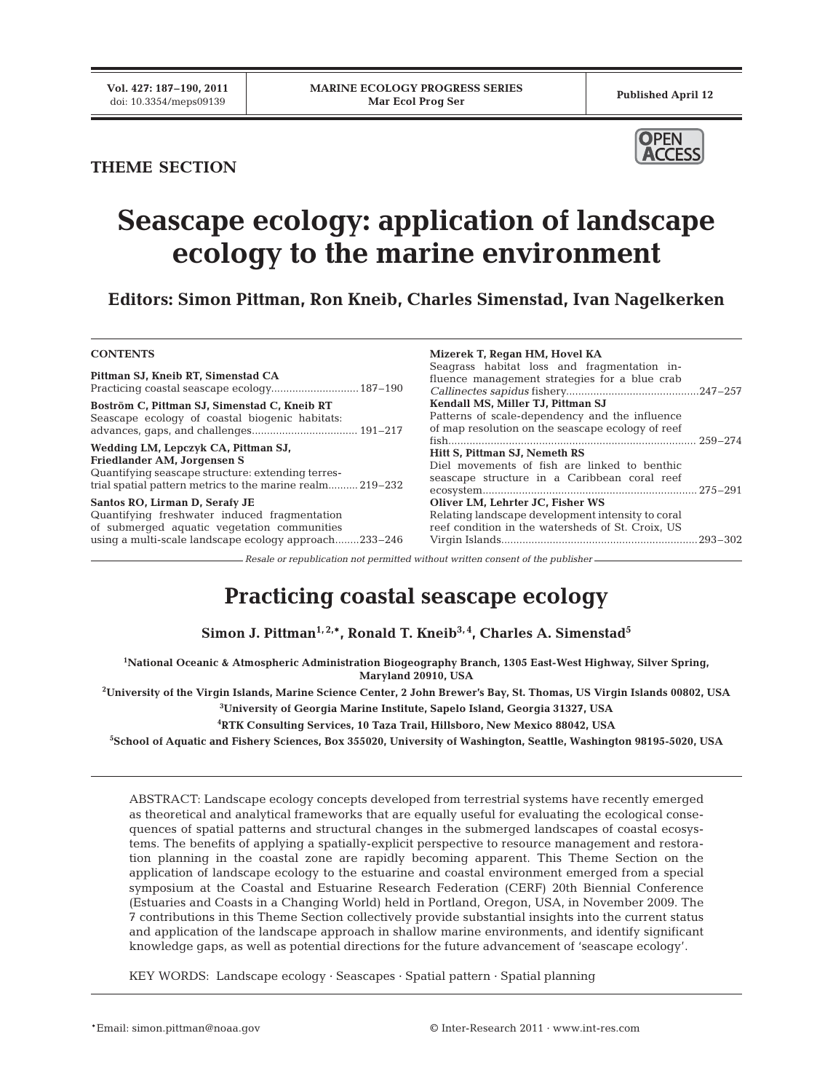### **THEME SECTION**



# **Seascape ecology: application of landscape ecology to the marine environment**

**Editors: Simon Pittman, Ron Kneib, Charles Simenstad, Ivan Nagelkerken**

#### **CONTENTS**

**Pittman SJ, Kneib RT, Simenstad CA** Practicing coastal seascape ecology.............................187–190

**Boström C, Pittman SJ, Simenstad C, Kneib RT** Seascape ecology of coastal biogenic habitats: advances, gaps, and challenges................................... 191–217

**Wedding LM, Lepczyk CA, Pittman SJ, Friedlander AM, Jorgensen S** Quantifying seascape structure: extending terrestrial spatial pattern metrics to the marine realm.......... 219–232

**Santos RO, Lirman D, Serafy JE** Quantifying freshwater induced fragmentation of submerged aquatic vegetation communities using a multi-scale landscape ecology approach........233–246

**Mizerek T, Regan HM, Hovel KA** Seagrass habitat loss and fragmentation influence management strategies for a blue crab *Callinectes sapidus* fishery............................................247–257 **Kendall MS, Miller TJ, Pittman SJ** Patterns of scale-dependency and the influence of map resolution on the seascape ecology of reef fish.................................................................................. 259–274 **Hitt S, Pittman SJ, Nemeth RS** Diel movements of fish are linked to benthic seascape structure in a Caribbean coral reef ecosystem....................................................................... 275–291 **Oliver LM, Lehrter JC, Fisher WS** Relating landscape development intensity to coral reef condition in the watersheds of St. Croix, US Virgin Islands.................................................................293–302

*Resale or republication not permitted without written consent of the publisher*

## **Practicing coastal seascape ecology**

Simon J. Pittman<sup>1, 2,\*</sup>, Ronald T. Kneib<sup>3,4</sup>, Charles A. Simenstad<sup>5</sup>

**1 National Oceanic & Atmospheric Administration Biogeography Branch, 1305 East-West Highway, Silver Spring, Maryland 20910, USA**

**2 University of the Virgin Islands, Marine Science Center, 2 John Brewer's Bay, St. Thomas, US Virgin Islands 00802, USA**

**3 University of Georgia Marine Institute, Sapelo Island, Georgia 31327, USA**

**4 RTK Consulting Services, 10 Taza Trail, Hillsboro, New Mexico 88042, USA**

**5 School of Aquatic and Fishery Sciences, Box 355020, University of Washington, Seattle, Washington 98195-5020, USA**

ABSTRACT: Landscape ecology concepts developed from terrestrial systems have recently emerged as theoretical and analytical frameworks that are equally useful for evaluating the ecological consequences of spatial patterns and structural changes in the submerged landscapes of coastal ecosystems. The benefits of applying a spatially-explicit perspective to resource management and restoration planning in the coastal zone are rapidly becoming apparent. This Theme Section on the application of landscape ecology to the estuarine and coastal environment emerged from a special symposium at the Coastal and Estuarine Research Federation (CERF) 20th Biennial Conference (Estuaries and Coasts in a Changing World) held in Portland, Oregon, USA, in November 2009. The 7 contributions in this Theme Section collectively provide substantial insights into the current status and application of the landscape approach in shallow marine environments, and identify significant knowledge gaps, as well as potential directions for the future advancement of 'seascape ecology'.

KEY WORDS: Landscape ecology · Seascapes · Spatial pattern · Spatial planning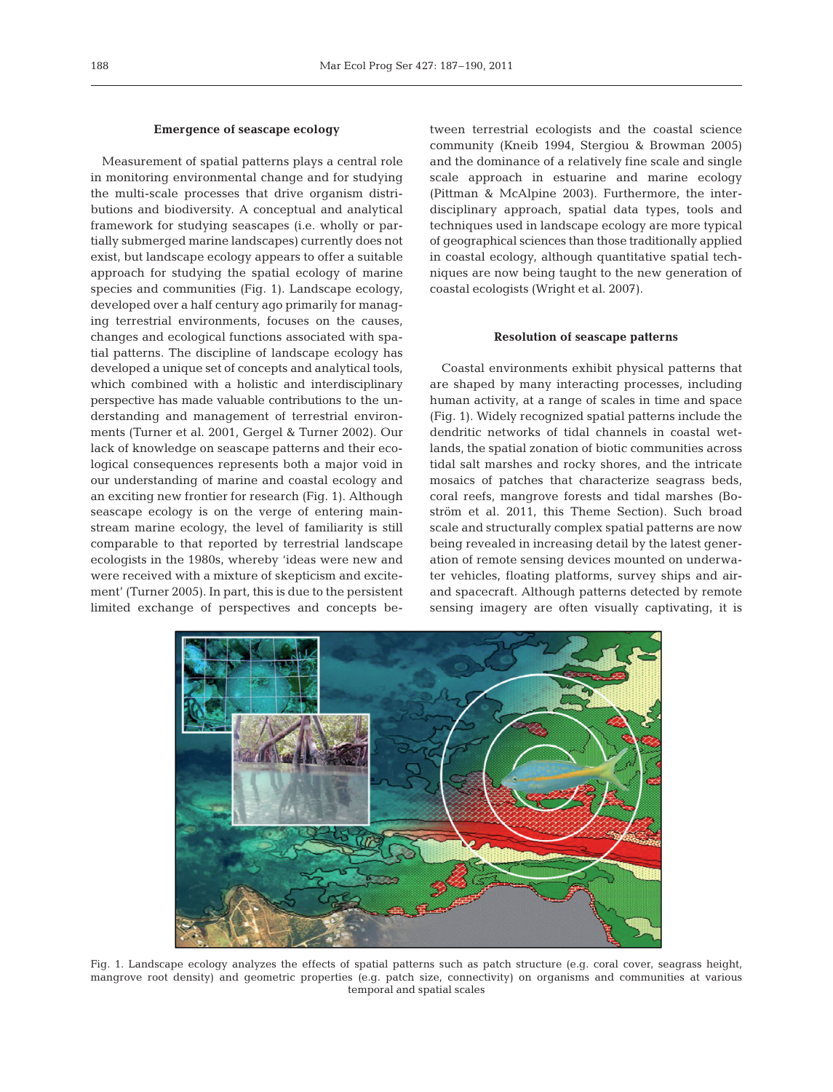#### **Emergence of seascape ecology**

Measurement of spatial patterns plays a central role in monitoring environmental change and for studying the multi-scale processes that drive organism distributions and biodiversity. A conceptual and analytical framework for studying seascapes (i.e. wholly or partially submerged marine landscapes) currently does not exist, but landscape ecology appears to offer a suitable approach for studying the spatial ecology of marine species and communities (Fig. 1). Landscape ecology, developed over a half century ago primarily for managing terrestrial environments, focuses on the causes, changes and ecological functions associated with spatial patterns. The discipline of landscape ecology has developed a unique set of concepts and analytical tools, which combined with a holistic and interdisciplinary perspective has made valuable contributions to the understanding and management of terrestrial environments (Turner et al. 2001, Gergel & Turner 2002). Our lack of knowledge on seascape patterns and their ecological consequences represents both a major void in our understanding of marine and coastal ecology and an exciting new frontier for research (Fig. 1). Although seascape ecology is on the verge of entering mainstream marine ecology, the level of familiarity is still comparable to that reported by terrestrial landscape ecologists in the 1980s, whereby 'ideas were new and were received with a mixture of skepticism and excitement' (Turner 2005). In part, this is due to the persistent limited exchange of perspectives and concepts between terrestrial ecologists and the coastal science community (Kneib 1994, Stergiou & Browman 2005) and the dominance of a relatively fine scale and single scale approach in estuarine and marine ecology (Pittman & McAlpine 2003). Furthermore, the inter disciplinary approach, spatial data types, tools and techniques used in landscape ecology are more typical of geographical sciences than those traditionally applied in coastal ecology, although quantitative spatial techniques are now being taught to the new generation of coastal ecologists (Wright et al. 2007).

#### **Resolution of seascape patterns**

Coastal environments exhibit physical patterns that are shaped by many interacting processes, including human activity, at a range of scales in time and space (Fig. 1). Widely recognized spatial patterns include the dendritic networks of tidal channels in coastal wetlands, the spatial zonation of biotic communities across tidal salt marshes and rocky shores, and the intricate mosaics of patches that characterize seagrass beds, coral reefs, mangrove forests and tidal marshes (Boström et al. 2011, this Theme Section). Such broad scale and structurally complex spatial patterns are now being revealed in increasing detail by the latest generation of remote sensing devices mounted on underwater vehicles, floating platforms, survey ships and airand spacecraft. Although patterns detected by remote sensing imagery are often visually captivating, it is



Fig. 1. Landscape ecology analyzes the effects of spatial patterns such as patch structure (e.g. coral cover, seagrass height, mangrove root density) and geometric properties (e.g. patch size, connectivity) on organisms and communities at various temporal and spatial scales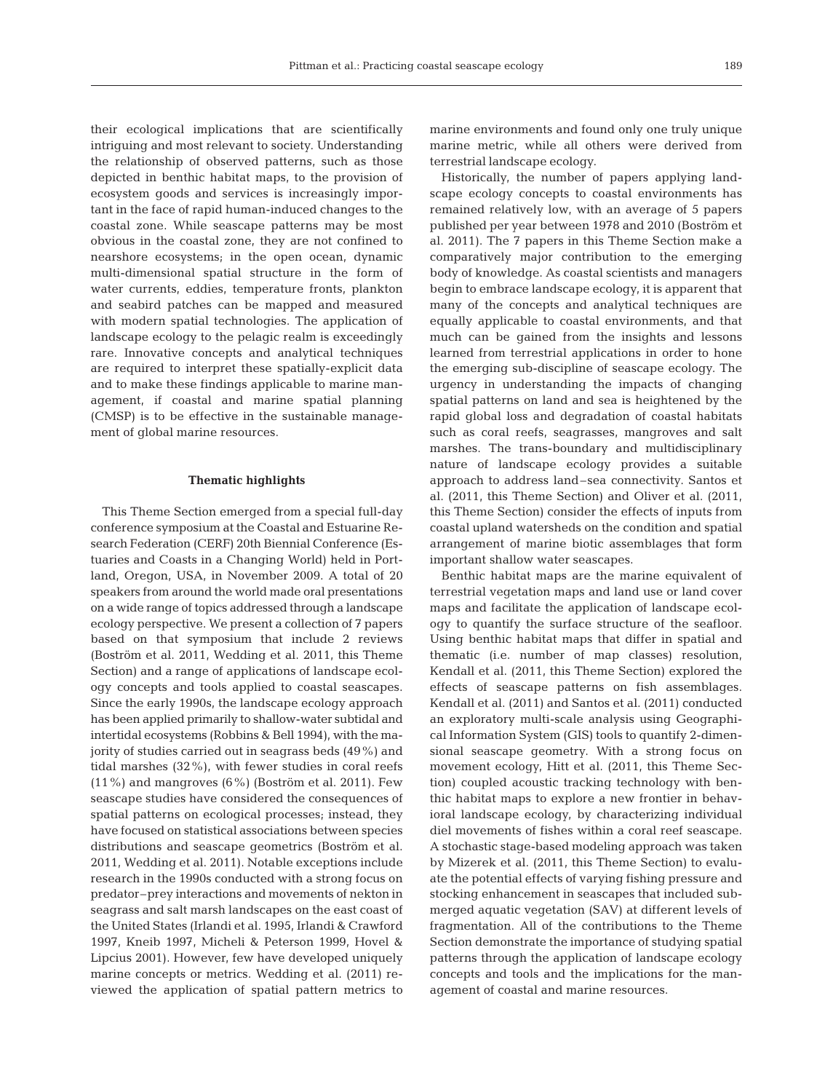their ecological implications that are scientifically intriguing and most relevant to society. Understanding the relationship of observed patterns, such as those depicted in benthic habitat maps, to the provision of ecosystem goods and services is increasingly important in the face of rapid human-induced changes to the coastal zone. While seascape patterns may be most obvious in the coastal zone, they are not confined to nearshore ecosystems; in the open ocean, dynamic multi-dimensional spatial structure in the form of water currents, eddies, temperature fronts, plankton and seabird patches can be mapped and measured with modern spatial technologies. The application of landscape ecology to the pelagic realm is exceedingly rare. Innovative concepts and analytical techniques are required to interpret these spatially-explicit data and to make these findings applicable to marine management, if coastal and marine spatial planning (CMSP) is to be effective in the sustainable management of global marine resources.

#### **Thematic highlights**

This Theme Section emerged from a special full-day conference symposium at the Coastal and Estuarine Research Federation (CERF) 20th Biennial Conference (Estuaries and Coasts in a Changing World) held in Portland, Oregon, USA, in November 2009. A total of 20 speakers from around the world made oral presentations on a wide range of topics addressed through a landscape ecology perspective. We present a collection of 7 papers based on that symposium that include 2 reviews (Boström et al. 2011, Wedding et al. 2011, this Theme Section) and a range of applications of landscape ecology concepts and tools applied to coastal seascapes. Since the early 1990s, the landscape ecology approach has been applied primarily to shallow-water subtidal and intertidal ecosystems (Robbins & Bell 1994), with the majority of studies carried out in seagrass beds (49%) and tidal marshes (32%), with fewer studies in coral reefs  $(11\%)$  and mangroves  $(6\%)$  (Boström et al. 2011). Few seascape studies have considered the consequences of spatial patterns on ecological processes; instead, they have focused on statistical associations between species distributions and seascape geometrics (Boström et al. 2011, Wedding et al. 2011). Notable exceptions include research in the 1990s conducted with a strong focus on predator–prey interactions and movements of nekton in seagrass and salt marsh landscapes on the east coast of the United States (Irlandi et al. 1995, Irlandi & Crawford 1997, Kneib 1997, Micheli & Peterson 1999, Hovel & Lipcius 2001). However, few have developed uniquely marine concepts or metrics. Wedding et al. (2011) reviewed the application of spatial pattern metrics to

marine environments and found only one truly unique marine metric, while all others were derived from terrestrial landscape ecology.

Historically, the number of papers applying landscape ecology concepts to coastal environments has remained relatively low, with an average of 5 papers published per year between 1978 and 2010 (Boström et al. 2011). The 7 papers in this Theme Section make a comparatively major contribution to the emerging body of knowledge. As coastal scientists and managers begin to embrace landscape ecology, it is apparent that many of the concepts and analytical techniques are equally applicable to coastal environments, and that much can be gained from the insights and lessons learned from terrestrial applications in order to hone the emerging sub-discipline of seascape ecology. The urgency in understanding the impacts of changing spatial patterns on land and sea is heightened by the rapid global loss and degradation of coastal habitats such as coral reefs, seagrasses, mangroves and salt marshes. The trans-boundary and multidisciplinary nature of landscape ecology provides a suitable approach to address land–sea connectivity. Santos et al. (2011, this Theme Section) and Oliver et al. (2011, this Theme Section) consider the effects of inputs from coastal upland watersheds on the condition and spatial arrangement of marine biotic assemblages that form important shallow water seascapes.

Benthic habitat maps are the marine equivalent of terrestrial vegetation maps and land use or land cover maps and facilitate the application of landscape ecology to quantify the surface structure of the seafloor. Using benthic habitat maps that differ in spatial and thematic (i.e. number of map classes) resolution, Kendall et al. (2011, this Theme Section) explored the effects of seascape patterns on fish assemblages. Kendall et al. (2011) and Santos et al. (2011) conducted an exploratory multi-scale analysis using Geographical Information System (GIS) tools to quantify 2-dimensional seascape geometry. With a strong focus on movement ecology, Hitt et al. (2011, this Theme Section) coupled acoustic tracking technology with benthic habitat maps to explore a new frontier in behavioral landscape ecology, by characterizing individual diel movements of fishes within a coral reef seascape. A stochastic stage-based modeling approach was taken by Mizerek et al. (2011, this Theme Section) to evaluate the potential effects of varying fishing pressure and stocking enhancement in seascapes that included submerged aquatic vegetation (SAV) at different levels of fragmentation. All of the contributions to the Theme Section demonstrate the importance of studying spatial patterns through the application of landscape ecology concepts and tools and the implications for the management of coastal and marine resources.